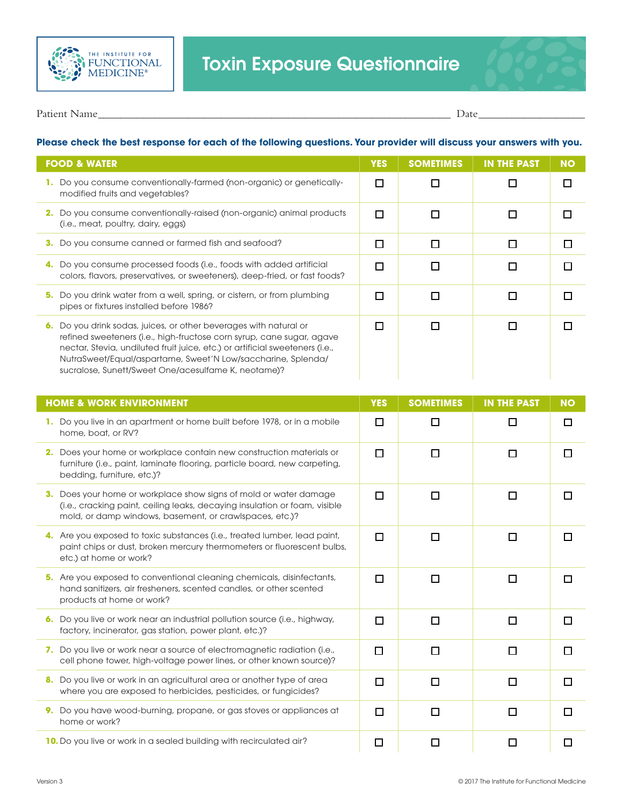



Patient Name\_\_\_\_\_\_\_\_\_\_\_\_\_\_\_\_\_\_\_\_\_\_\_\_\_\_\_\_\_\_\_\_\_\_\_\_\_\_\_\_\_\_\_\_\_\_\_\_\_\_\_\_\_\_\_\_\_\_\_\_\_\_\_ Date\_\_\_\_\_\_\_\_\_\_\_\_\_\_\_\_\_\_\_

## **Please check the best response for each of the following questions. Your provider will discuss your answers with you.**

| <b>FOOD &amp; WATER</b>                                                                                                                                                                                                                                                                                                                              | <b>YES</b> | <b>SOMETIMES</b> | <b>IN THE PAST</b> | <b>NO</b> |
|------------------------------------------------------------------------------------------------------------------------------------------------------------------------------------------------------------------------------------------------------------------------------------------------------------------------------------------------------|------------|------------------|--------------------|-----------|
| Do you consume conventionally-farmed (non-organic) or genetically-<br>modified fruits and vegetables?                                                                                                                                                                                                                                                | П          |                  |                    |           |
| Do you consume conventionally-raised (non-organic) animal products<br>2.<br>(i.e., meat, poultry, dairy, eggs)                                                                                                                                                                                                                                       | П          |                  |                    |           |
| Do you consume canned or farmed fish and seafood?<br>з.                                                                                                                                                                                                                                                                                              | П          |                  |                    |           |
| Do you consume processed foods (i.e., foods with added artificial<br>colors, flavors, preservatives, or sweeteners), deep-fried, or fast foods?                                                                                                                                                                                                      | П          |                  |                    |           |
| Do you drink water from a well, spring, or cistern, or from plumbing<br>5.<br>pipes or fixtures installed before 1986?                                                                                                                                                                                                                               |            |                  |                    |           |
| Do you drink sodas, juices, or other beverages with natural or<br>6.<br>refined sweeteners (i.e., high-fructose corn syrup, cane sugar, agave<br>nectar, Stevia, undiluted fruit juice, etc.) or artificial sweeteners (i.e.,<br>NutraSweet/Equal/aspartame, Sweet'N Low/saccharine, Splenda/<br>sucralose, Sunett/Sweet One/acesulfame K, neotame)? | П          |                  |                    |           |

| <b>HOME &amp; WORK ENVIRONMENT</b>                                                                                                                                                                         | <b>YES</b> | <b>SOMETIMES</b> | <b>IN THE PAST</b> | <b>NO</b> |
|------------------------------------------------------------------------------------------------------------------------------------------------------------------------------------------------------------|------------|------------------|--------------------|-----------|
| 1. Do you live in an apartment or home built before 1978, or in a mobile<br>home, boat, or RV?                                                                                                             | П          | П                | $\mathbf{I}$       | □         |
| 2. Does your home or workplace contain new construction materials or<br>furniture (i.e., paint, laminate flooring, particle board, new carpeting,<br>bedding, furniture, etc.)?                            | П          | П                | п                  |           |
| 3. Does your home or workplace show signs of mold or water damage<br>(i.e., cracking paint, ceiling leaks, decaying insulation or foam, visible<br>mold, or damp windows, basement, or crawlspaces, etc.)? | п          | П                | П                  |           |
| 4. Are you exposed to toxic substances (i.e., treated lumber, lead paint,<br>paint chips or dust, broken mercury thermometers or fluorescent bulbs,<br>etc.) at home or work?                              | $\Box$     | □                | п                  | П         |
| 5. Are you exposed to conventional cleaning chemicals, disinfectants,<br>hand sanitizers, air fresheners, scented candles, or other scented<br>products at home or work?                                   | $\Box$     | П                | П                  | $\Box$    |
| 6. Do you live or work near an industrial pollution source (i.e., highway,<br>factory, incinerator, gas station, power plant, etc.)?                                                                       | П          | П                | п                  |           |
| 7. Do you live or work near a source of electromagnetic radiation (i.e.,<br>cell phone tower, high-voltage power lines, or other known source)?                                                            | □          | П                | П                  | l 1       |
| 8. Do you live or work in an agricultural area or another type of area<br>where you are exposed to herbicides, pesticides, or fungicides?                                                                  | П          | П                | п                  | п         |
| 9. Do you have wood-burning, propane, or gas stoves or appliances at<br>home or work?                                                                                                                      | П          | П                | п                  |           |
| 10. Do you live or work in a sealed building with recirculated air?                                                                                                                                        | □          | $\Box$           |                    |           |